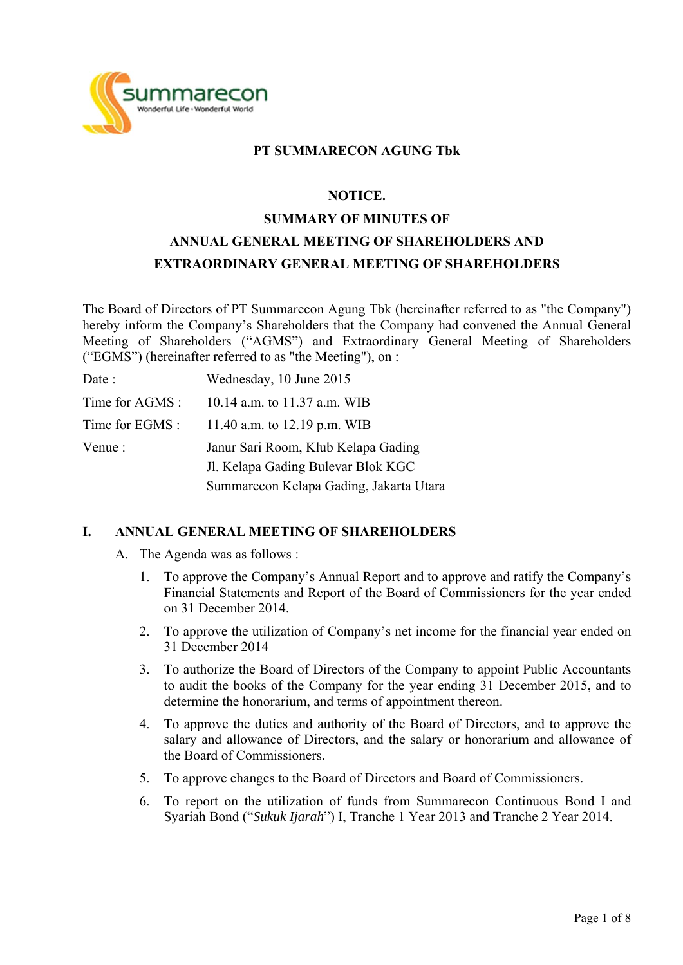

## **PT SUMMARECON AGUNG Tbk**

#### **NOTICE.**

# **SUMMARY OF MINUTES OF ANNUAL GENERAL MEETING OF SHAREHOLDERS AND EXTRAORDINARY GENERAL MEETING OF SHAREHOLDERS**

The Board of Directors of PT Summarecon Agung Tbk (hereinafter referred to as "the Company") hereby inform the Company's Shareholders that the Company had convened the Annual General Meeting of Shareholders ("AGMS") and Extraordinary General Meeting of Shareholders ("EGMS") (hereinafter referred to as "the Meeting"), on :

| Date :          | Wednesday, 10 June 2015                 |
|-----------------|-----------------------------------------|
| Time for AGMS : | 10.14 a.m. to 11.37 a.m. WIB            |
| Time for EGMS : | 11.40 a.m. to 12.19 p.m. WIB            |
| Venue :         | Janur Sari Room, Klub Kelapa Gading     |
|                 | J. Kelapa Gading Bulevar Blok KGC       |
|                 | Summarecon Kelapa Gading, Jakarta Utara |

## **I. ANNUAL GENERAL MEETING OF SHAREHOLDERS**

- A. The Agenda was as follows :
	- 1. To approve the Company's Annual Report and to approve and ratify the Company's Financial Statements and Report of the Board of Commissioners for the year ended on 31 December 2014.
	- 2. To approve the utilization of Company's net income for the financial year ended on 31 December 2014
	- 3. To authorize the Board of Directors of the Company to appoint Public Accountants to audit the books of the Company for the year ending 31 December 2015, and to determine the honorarium, and terms of appointment thereon.
	- 4. To approve the duties and authority of the Board of Directors, and to approve the salary and allowance of Directors, and the salary or honorarium and allowance of the Board of Commissioners.
	- 5. To approve changes to the Board of Directors and Board of Commissioners.
	- 6. To report on the utilization of funds from Summarecon Continuous Bond I and Syariah Bond ("*Sukuk Ijarah*") I, Tranche 1 Year 2013 and Tranche 2 Year 2014.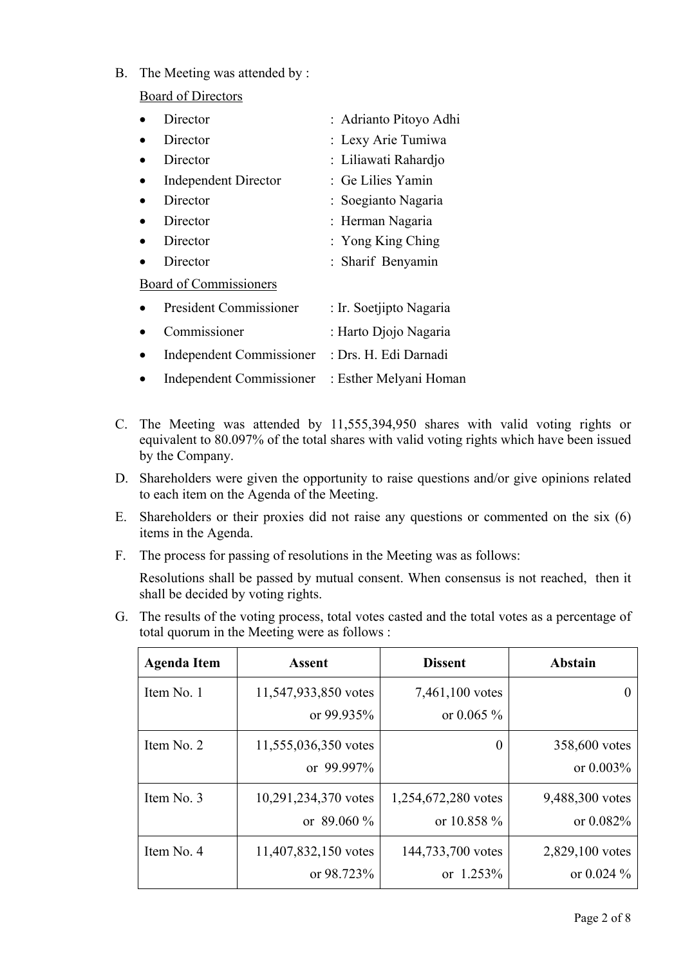B. The Meeting was attended by :

Board of Directors

| Director                        | : Adrianto Pitoyo Adhi  |
|---------------------------------|-------------------------|
| Director                        | : Lexy Arie Tumiwa      |
| Director                        | : Liliawati Rahardjo    |
| <b>Independent Director</b>     | : Ge Lilies Yamin       |
| Director                        | : Soegianto Nagaria     |
| Director                        | : Herman Nagaria        |
| Director                        | : Yong King Ching       |
| Director                        | : Sharif Benyamin       |
| Board of Commissioners          |                         |
| President Commissioner          | : Ir. Soetjipto Nagaria |
| Commissioner                    | : Harto Djojo Nagaria   |
| <b>Independent Commissioner</b> | : Drs. H. Edi Darnadi   |
| <b>Independent Commissioner</b> | : Esther Melyani Homan  |

- C. The Meeting was attended by 11,555,394,950 shares with valid voting rights or equivalent to 80.097% of the total shares with valid voting rights which have been issued by the Company.
- D. Shareholders were given the opportunity to raise questions and/or give opinions related to each item on the Agenda of the Meeting.
- E. Shareholders or their proxies did not raise any questions or commented on the six (6) items in the Agenda.
- F. The process for passing of resolutions in the Meeting was as follows:

Resolutions shall be passed by mutual consent. When consensus is not reached, then it shall be decided by voting rights.

G. The results of the voting process, total votes casted and the total votes as a percentage of total quorum in the Meeting were as follows :

| <b>Agenda Item</b> | <b>Assent</b>                         | <b>Dissent</b>                     | <b>Abstain</b>                  |
|--------------------|---------------------------------------|------------------------------------|---------------------------------|
| Item No. 1         | 11,547,933,850 votes<br>or $99.935\%$ | 7,461,100 votes<br>or $0.065\%$    | $\Omega$                        |
| Item No. 2         | 11,555,036,350 votes<br>or 99.997%    | 0                                  | 358,600 votes<br>or $0.003\%$   |
| Item No. 3         | 10,291,234,370 votes<br>or $89.060\%$ | 1,254,672,280 votes<br>or 10.858 % | 9,488,300 votes<br>or $0.082\%$ |
| Item No. 4         | 11,407,832,150 votes<br>or $98.723\%$ | 144,733,700 votes<br>or $1.253\%$  | 2,829,100 votes<br>or $0.024\%$ |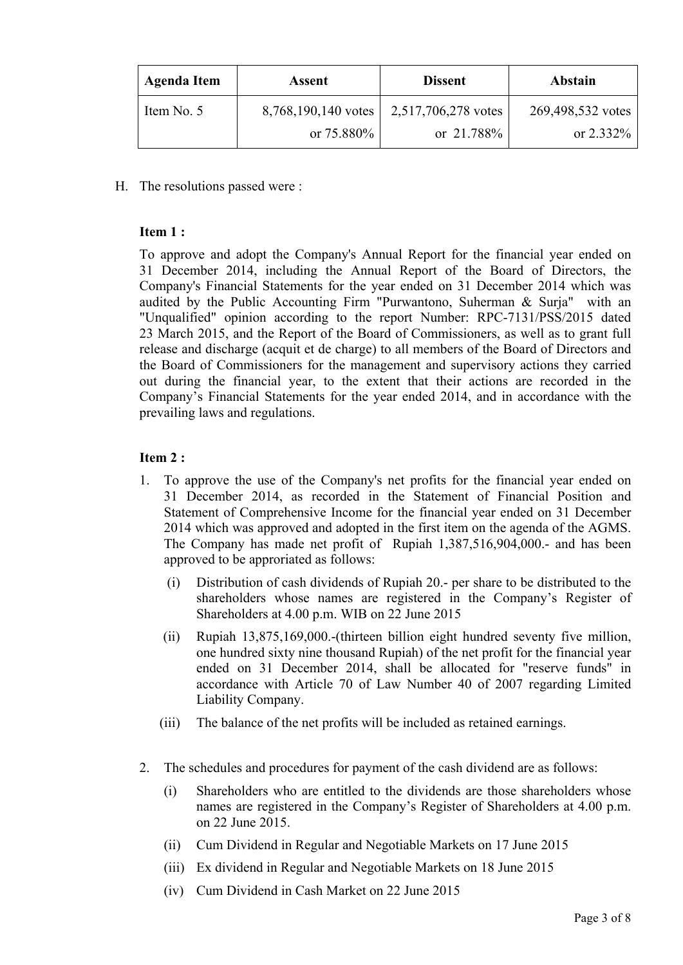| <b>Agenda Item</b>                | Assent        | <b>Dissent</b>      | Abstain           |
|-----------------------------------|---------------|---------------------|-------------------|
| Item No. 5<br>8,768,190,140 votes |               | 2,517,706,278 votes | 269,498,532 votes |
|                                   | or $75.880\%$ | or 21.788%          | or $2.332\%$      |

H. The resolutions passed were :

#### **Item 1 :**

To approve and adopt the Company's Annual Report for the financial year ended on 31 December 2014, including the Annual Report of the Board of Directors, the Company's Financial Statements for the year ended on 31 December 2014 which was audited by the Public Accounting Firm "Purwantono, Suherman & Surja" with an "Unqualified" opinion according to the report Number: RPC-7131/PSS/2015 dated 23 March 2015, and the Report of the Board of Commissioners, as well as to grant full release and discharge (acquit et de charge) to all members of the Board of Directors and the Board of Commissioners for the management and supervisory actions they carried out during the financial year, to the extent that their actions are recorded in the Company's Financial Statements for the year ended 2014, and in accordance with the prevailing laws and regulations.

#### **Item 2 :**

- 1. To approve the use of the Company's net profits for the financial year ended on 31 December 2014, as recorded in the Statement of Financial Position and Statement of Comprehensive Income for the financial year ended on 31 December 2014 which was approved and adopted in the first item on the agenda of the AGMS. The Company has made net profit of Rupiah 1,387,516,904,000.- and has been approved to be approriated as follows:
	- (i) Distribution of cash dividends of Rupiah 20.- per share to be distributed to the shareholders whose names are registered in the Company's Register of Shareholders at 4.00 p.m. WIB on 22 June 2015
	- (ii) Rupiah 13,875,169,000.-(thirteen billion eight hundred seventy five million, one hundred sixty nine thousand Rupiah) of the net profit for the financial year ended on 31 December 2014, shall be allocated for "reserve funds" in accordance with Article 70 of Law Number 40 of 2007 regarding Limited Liability Company.
	- (iii) The balance of the net profits will be included as retained earnings.
- 2. The schedules and procedures for payment of the cash dividend are as follows:
	- (i) Shareholders who are entitled to the dividends are those shareholders whose names are registered in the Company's Register of Shareholders at 4.00 p.m. on 22 June 2015.
	- (ii) Cum Dividend in Regular and Negotiable Markets on 17 June 2015
	- (iii) Ex dividend in Regular and Negotiable Markets on 18 June 2015
	- (iv) Cum Dividend in Cash Market on 22 June 2015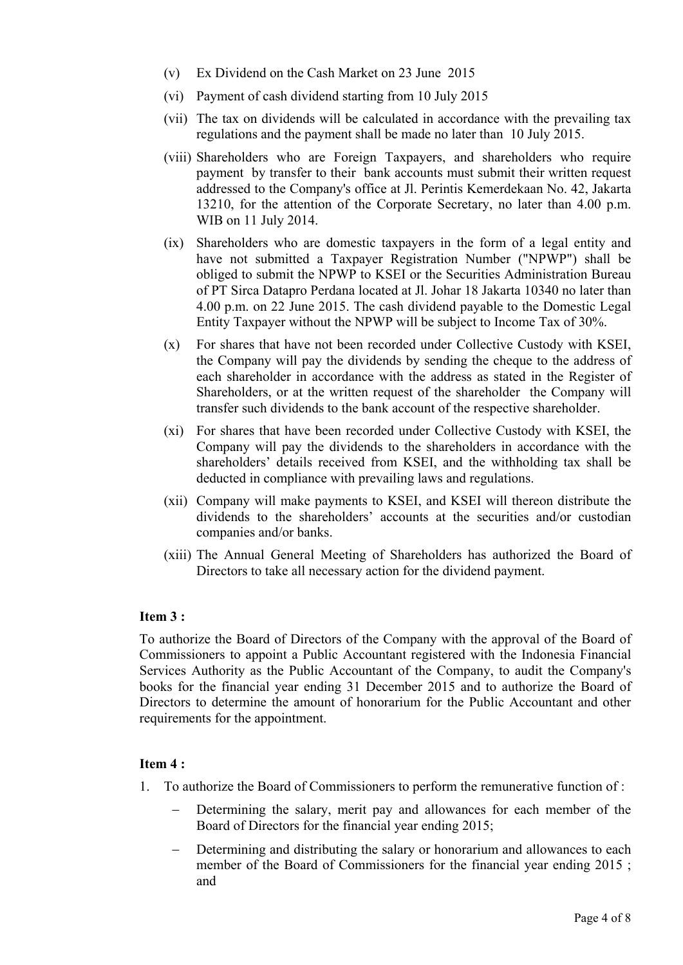- (v) Ex Dividend on the Cash Market on 23 June 2015
- (vi) Payment of cash dividend starting from 10 July 2015
- (vii) The tax on dividends will be calculated in accordance with the prevailing tax regulations and the payment shall be made no later than 10 July 2015.
- (viii) Shareholders who are Foreign Taxpayers, and shareholders who require payment by transfer to their bank accounts must submit their written request addressed to the Company's office at Jl. Perintis Kemerdekaan No. 42, Jakarta 13210, for the attention of the Corporate Secretary, no later than 4.00 p.m. WIB on 11 July 2014.
- (ix) Shareholders who are domestic taxpayers in the form of a legal entity and have not submitted a Taxpayer Registration Number ("NPWP") shall be obliged to submit the NPWP to KSEI or the Securities Administration Bureau of PT Sirca Datapro Perdana located at Jl. Johar 18 Jakarta 10340 no later than 4.00 p.m. on 22 June 2015. The cash dividend payable to the Domestic Legal Entity Taxpayer without the NPWP will be subject to Income Tax of 30%.
- (x) For shares that have not been recorded under Collective Custody with KSEI, the Company will pay the dividends by sending the cheque to the address of each shareholder in accordance with the address as stated in the Register of Shareholders, or at the written request of the shareholder the Company will transfer such dividends to the bank account of the respective shareholder.
- (xi) For shares that have been recorded under Collective Custody with KSEI, the Company will pay the dividends to the shareholders in accordance with the shareholders' details received from KSEI, and the withholding tax shall be deducted in compliance with prevailing laws and regulations.
- (xii) Company will make payments to KSEI, and KSEI will thereon distribute the dividends to the shareholders' accounts at the securities and/or custodian companies and/or banks.
- (xiii) The Annual General Meeting of Shareholders has authorized the Board of Directors to take all necessary action for the dividend payment.

## **Item 3 :**

To authorize the Board of Directors of the Company with the approval of the Board of Commissioners to appoint a Public Accountant registered with the Indonesia Financial Services Authority as the Public Accountant of the Company, to audit the Company's books for the financial year ending 31 December 2015 and to authorize the Board of Directors to determine the amount of honorarium for the Public Accountant and other requirements for the appointment.

## **Item 4 :**

- 1. To authorize the Board of Commissioners to perform the remunerative function of :
	- Determining the salary, merit pay and allowances for each member of the Board of Directors for the financial year ending 2015;
	- Determining and distributing the salary or honorarium and allowances to each member of the Board of Commissioners for the financial year ending 2015; and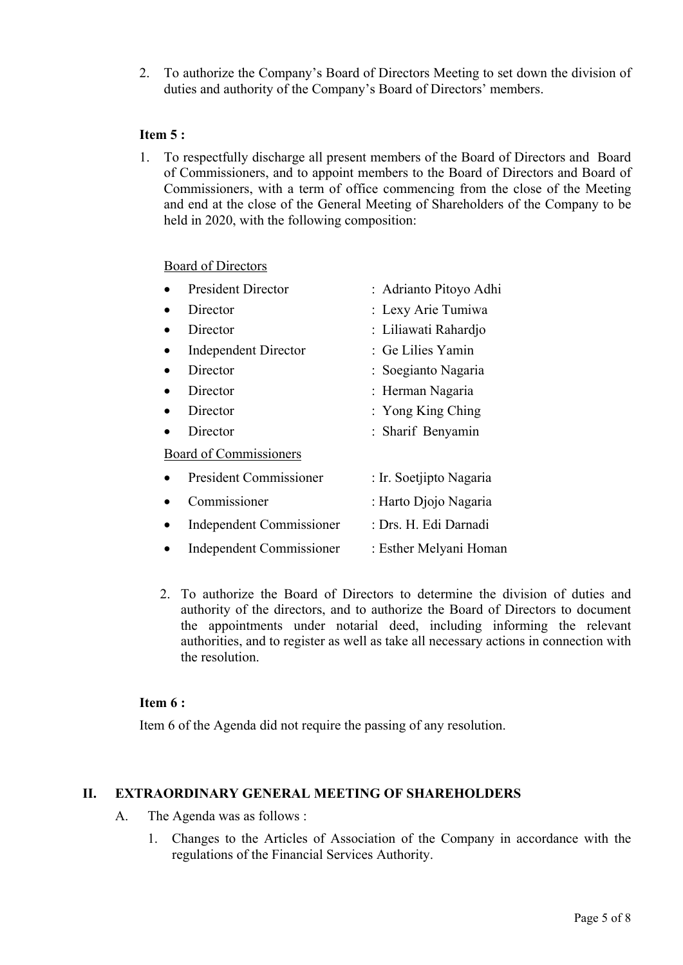2. To authorize the Company's Board of Directors Meeting to set down the division of duties and authority of the Company's Board of Directors' members.

## **Item 5 :**

1. To respectfully discharge all present members of the Board of Directors and Board of Commissioners, and to appoint members to the Board of Directors and Board of Commissioners, with a term of office commencing from the close of the Meeting and end at the close of the General Meeting of Shareholders of the Company to be held in 2020, with the following composition:

## Board of Directors

| <b>President Director</b>       | : Adrianto Pitoyo Adhi  |
|---------------------------------|-------------------------|
| Director                        | : Lexy Arie Tumiwa      |
| Director                        | : Liliawati Rahardjo    |
| <b>Independent Director</b>     | : Ge Lilies Yamin       |
| Director                        | : Soegianto Nagaria     |
| Director                        | : Herman Nagaria        |
| Director                        | : Yong King Ching       |
| Director                        | : Sharif Benyamin       |
| Board of Commissioners          |                         |
| <b>President Commissioner</b>   | : Ir. Soetjipto Nagaria |
| Commissioner                    | : Harto Djojo Nagaria   |
| <b>Independent Commissioner</b> | : Drs. H. Edi Darnadi   |
| <b>Independent Commissioner</b> | : Esther Melyani Homan  |

2. To authorize the Board of Directors to determine the division of duties and authority of the directors, and to authorize the Board of Directors to document the appointments under notarial deed, including informing the relevant authorities, and to register as well as take all necessary actions in connection with the resolution.

## **Item 6 :**

Item 6 of the Agenda did not require the passing of any resolution.

#### **II. EXTRAORDINARY GENERAL MEETING OF SHAREHOLDERS**

- A. The Agenda was as follows :
	- 1. Changes to the Articles of Association of the Company in accordance with the regulations of the Financial Services Authority.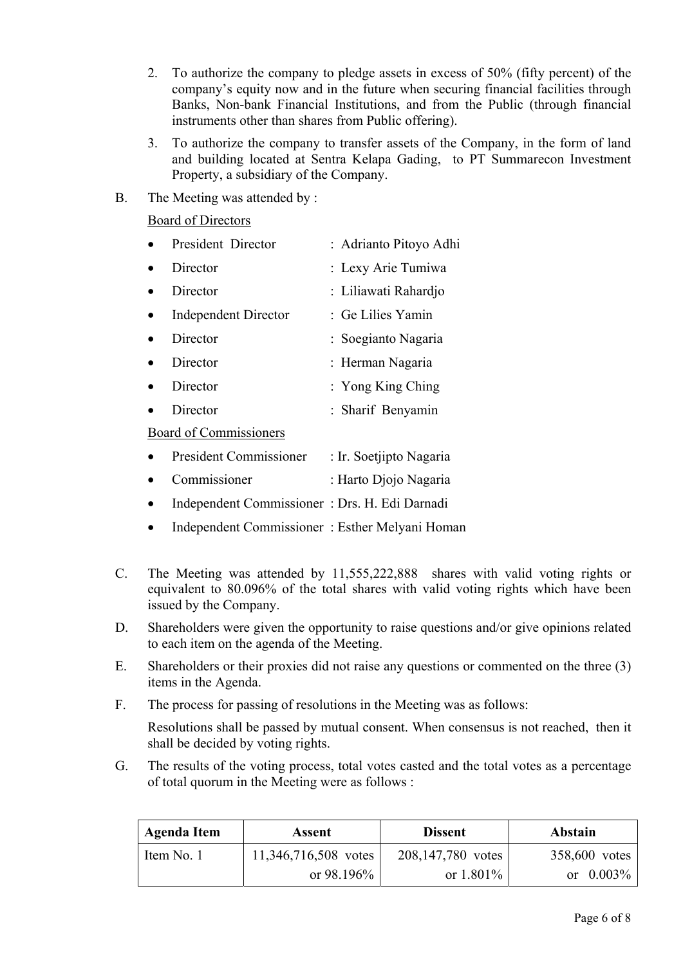- 2. To authorize the company to pledge assets in excess of 50% (fifty percent) of the company's equity now and in the future when securing financial facilities through Banks, Non-bank Financial Institutions, and from the Public (through financial instruments other than shares from Public offering).
- 3. To authorize the company to transfer assets of the Company, in the form of land and building located at Sentra Kelapa Gading, to PT Summarecon Investment Property, a subsidiary of the Company.
- B. The Meeting was attended by :

Board of Directors

| President Director          | : Adrianto Pitoyo Adhi |
|-----------------------------|------------------------|
| Director                    | : Lexy Arie Tumiwa     |
| Director                    | : Liliawati Rahardjo   |
| <b>Independent Director</b> | : Ge Lilies Yamin      |
| Director                    | : Soegianto Nagaria    |
| Director                    | : Herman Nagaria       |
| Director                    | : Yong King Ching      |
| Director                    | : Sharif Benyamin      |
|                             |                        |

#### Board of Commissioners

|  | <b>President Commissioner</b> |  | : Ir. Soetjipto Nagaria |  |
|--|-------------------------------|--|-------------------------|--|
|--|-------------------------------|--|-------------------------|--|

- Commissioner : Harto Djojo Nagaria
- Independent Commissioner : Drs. H. Edi Darnadi
- Independent Commissioner : Esther Melyani Homan
- C. The Meeting was attended by 11,555,222,888 shares with valid voting rights or equivalent to 80.096% of the total shares with valid voting rights which have been issued by the Company.
- D. Shareholders were given the opportunity to raise questions and/or give opinions related to each item on the agenda of the Meeting.
- E. Shareholders or their proxies did not raise any questions or commented on the three (3) items in the Agenda.
- F. The process for passing of resolutions in the Meeting was as follows:

Resolutions shall be passed by mutual consent. When consensus is not reached, then it shall be decided by voting rights.

G. The results of the voting process, total votes casted and the total votes as a percentage of total quorum in the Meeting were as follows :

| Agenda Item | Assent               | <b>Dissent</b>    | <b>Abstain</b> |
|-------------|----------------------|-------------------|----------------|
| Item No. 1  | 11,346,716,508 votes | 208,147,780 votes | 358,600 votes  |
|             | or $98.196\%$        | or $1.801\%$      | or $0.003\%$   |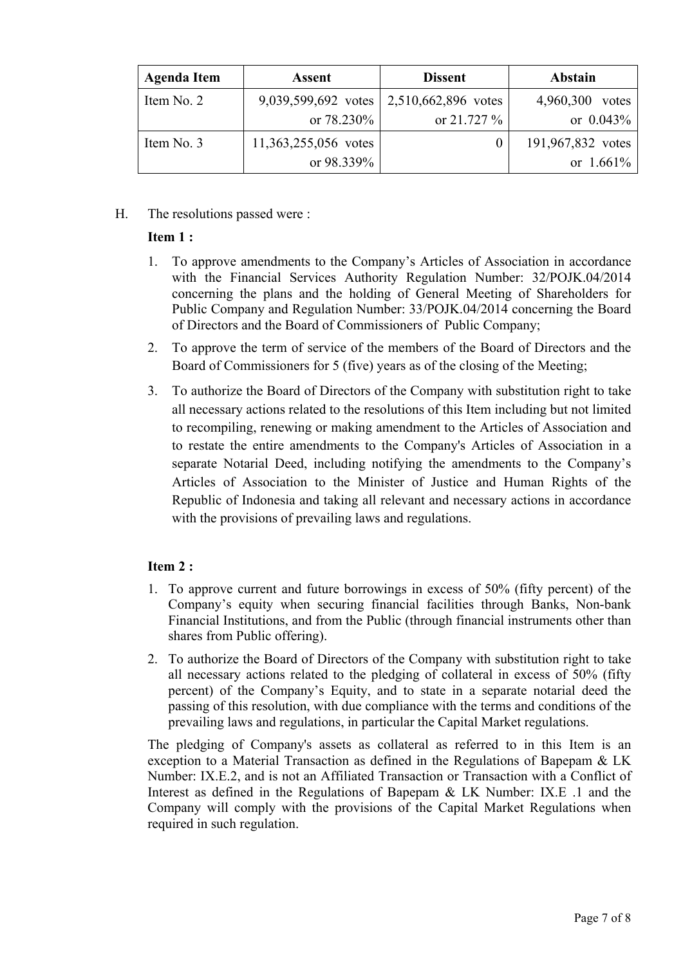| <b>Agenda Item</b> | <b>Assent</b>        | <b>Dissent</b>                            | <b>Abstain</b>     |
|--------------------|----------------------|-------------------------------------------|--------------------|
| Item No. 2         |                      | 9,039,599,692 votes   2,510,662,896 votes | 4,960,300<br>votes |
|                    | or $78.230\%$        | or $21.727\%$                             | or $0.043\%$       |
| Item No. 3         | 11,363,255,056 votes |                                           | 191,967,832 votes  |
|                    | or 98.339%           |                                           | or $1.661\%$       |

H. The resolutions passed were :

## **Item 1 :**

- 1. To approve amendments to the Company's Articles of Association in accordance with the Financial Services Authority Regulation Number: 32/POJK.04/2014 concerning the plans and the holding of General Meeting of Shareholders for Public Company and Regulation Number: 33/POJK.04/2014 concerning the Board of Directors and the Board of Commissioners of Public Company;
- 2. To approve the term of service of the members of the Board of Directors and the Board of Commissioners for 5 (five) years as of the closing of the Meeting;
- 3. To authorize the Board of Directors of the Company with substitution right to take all necessary actions related to the resolutions of this Item including but not limited to recompiling, renewing or making amendment to the Articles of Association and to restate the entire amendments to the Company's Articles of Association in a separate Notarial Deed, including notifying the amendments to the Company's Articles of Association to the Minister of Justice and Human Rights of the Republic of Indonesia and taking all relevant and necessary actions in accordance with the provisions of prevailing laws and regulations.

## **Item 2 :**

- 1. To approve current and future borrowings in excess of 50% (fifty percent) of the Company's equity when securing financial facilities through Banks, Non-bank Financial Institutions, and from the Public (through financial instruments other than shares from Public offering).
- 2. To authorize the Board of Directors of the Company with substitution right to take all necessary actions related to the pledging of collateral in excess of 50% (fifty percent) of the Company's Equity, and to state in a separate notarial deed the passing of this resolution, with due compliance with the terms and conditions of the prevailing laws and regulations, in particular the Capital Market regulations.

The pledging of Company's assets as collateral as referred to in this Item is an exception to a Material Transaction as defined in the Regulations of Bapepam & LK Number: IX.E.2, and is not an Affiliated Transaction or Transaction with a Conflict of Interest as defined in the Regulations of Bapepam & LK Number: IX.E .1 and the Company will comply with the provisions of the Capital Market Regulations when required in such regulation.